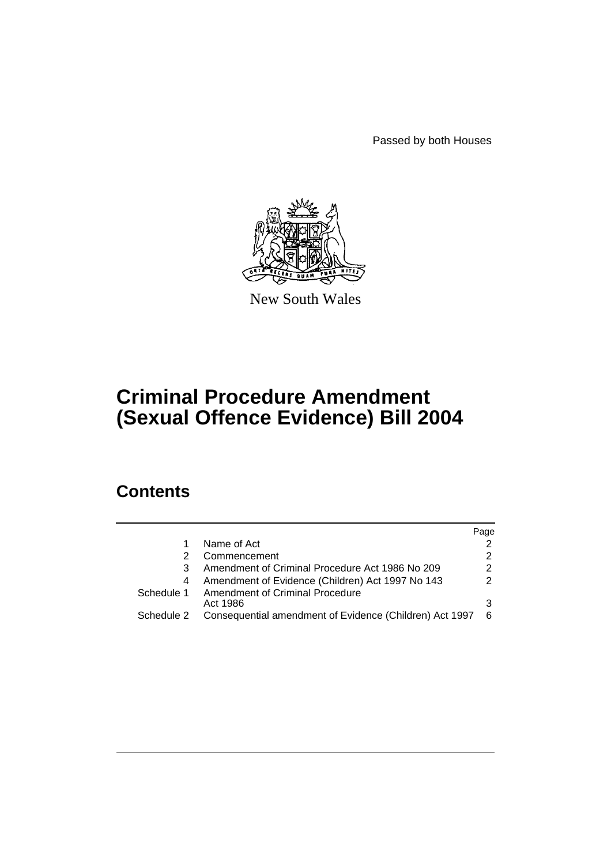Passed by both Houses



New South Wales

# **Criminal Procedure Amendment (Sexual Offence Evidence) Bill 2004**

# **Contents**

|            |                                                         | Page          |
|------------|---------------------------------------------------------|---------------|
| 1          | Name of Act                                             |               |
| 2          | Commencement                                            | 2             |
| 3          | Amendment of Criminal Procedure Act 1986 No 209         | $\mathcal{P}$ |
| 4          | Amendment of Evidence (Children) Act 1997 No 143        | $\mathcal{P}$ |
| Schedule 1 | Amendment of Criminal Procedure<br>Act 1986             | 3             |
| Schedule 2 | Consequential amendment of Evidence (Children) Act 1997 | 6             |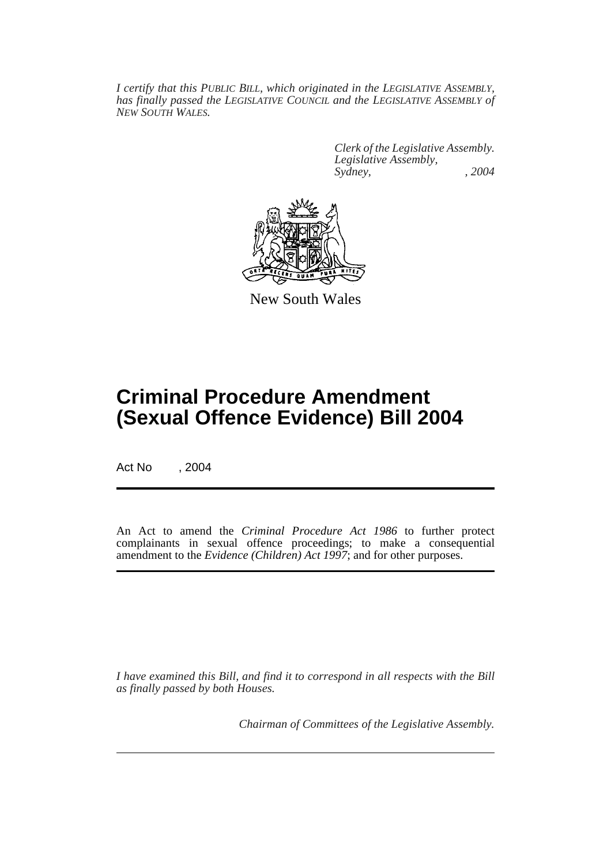*I certify that this PUBLIC BILL, which originated in the LEGISLATIVE ASSEMBLY, has finally passed the LEGISLATIVE COUNCIL and the LEGISLATIVE ASSEMBLY of NEW SOUTH WALES.*

> *Clerk of the Legislative Assembly. Legislative Assembly, Sydney, , 2004*



New South Wales

# **Criminal Procedure Amendment (Sexual Offence Evidence) Bill 2004**

Act No , 2004

An Act to amend the *Criminal Procedure Act 1986* to further protect complainants in sexual offence proceedings; to make a consequential amendment to the *Evidence (Children) Act 1997*; and for other purposes.

*I have examined this Bill, and find it to correspond in all respects with the Bill as finally passed by both Houses.*

*Chairman of Committees of the Legislative Assembly.*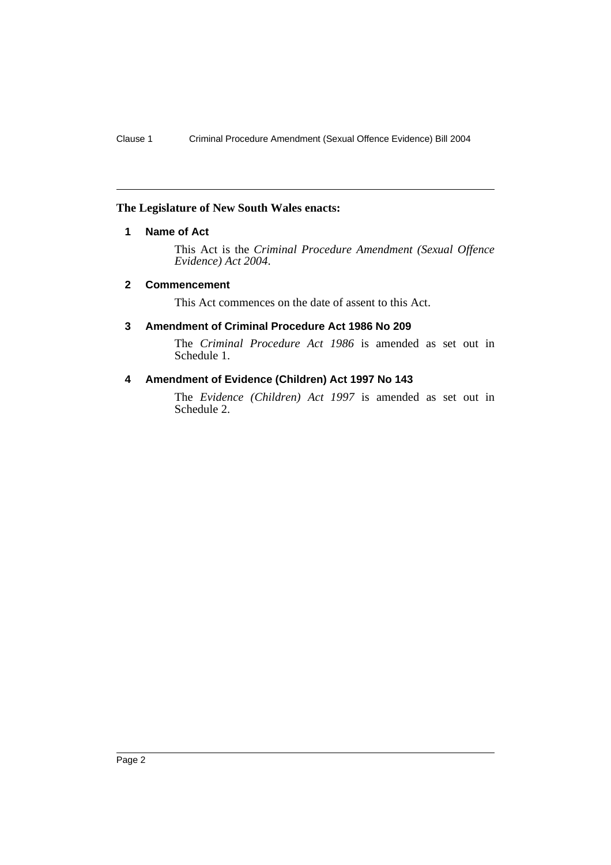#### **The Legislature of New South Wales enacts:**

### **1 Name of Act**

This Act is the *Criminal Procedure Amendment (Sexual Offence Evidence) Act 2004*.

### **2 Commencement**

This Act commences on the date of assent to this Act.

### **3 Amendment of Criminal Procedure Act 1986 No 209**

The *Criminal Procedure Act 1986* is amended as set out in Schedule 1.

### **4 Amendment of Evidence (Children) Act 1997 No 143**

The *Evidence (Children) Act 1997* is amended as set out in Schedule 2.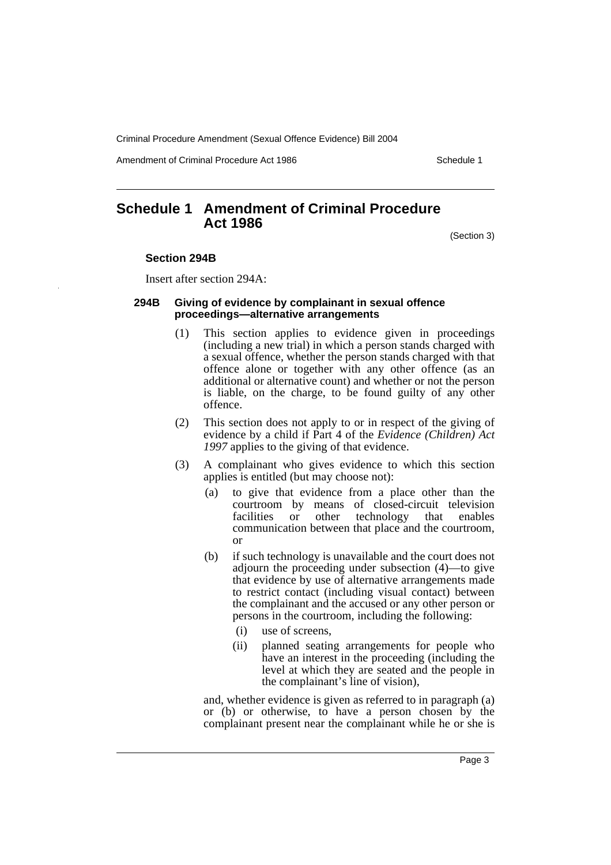Amendment of Criminal Procedure Act 1986 Schedule 1

## **Schedule 1 Amendment of Criminal Procedure Act 1986**

(Section 3)

#### **Section 294B**

Insert after section 294A:

#### **294B Giving of evidence by complainant in sexual offence proceedings—alternative arrangements**

- (1) This section applies to evidence given in proceedings (including a new trial) in which a person stands charged with a sexual offence, whether the person stands charged with that offence alone or together with any other offence (as an additional or alternative count) and whether or not the person is liable, on the charge, to be found guilty of any other offence.
- (2) This section does not apply to or in respect of the giving of evidence by a child if Part 4 of the *Evidence (Children) Act 1997* applies to the giving of that evidence.
- (3) A complainant who gives evidence to which this section applies is entitled (but may choose not):
	- (a) to give that evidence from a place other than the courtroom by means of closed-circuit television<br>facilities or other technology that enables or other technology that enables communication between that place and the courtroom, or
	- (b) if such technology is unavailable and the court does not adjourn the proceeding under subsection (4)—to give that evidence by use of alternative arrangements made to restrict contact (including visual contact) between the complainant and the accused or any other person or persons in the courtroom, including the following:
		- (i) use of screens,
		- (ii) planned seating arrangements for people who have an interest in the proceeding (including the level at which they are seated and the people in the complainant's line of vision),

and, whether evidence is given as referred to in paragraph (a) or (b) or otherwise, to have a person chosen by the complainant present near the complainant while he or she is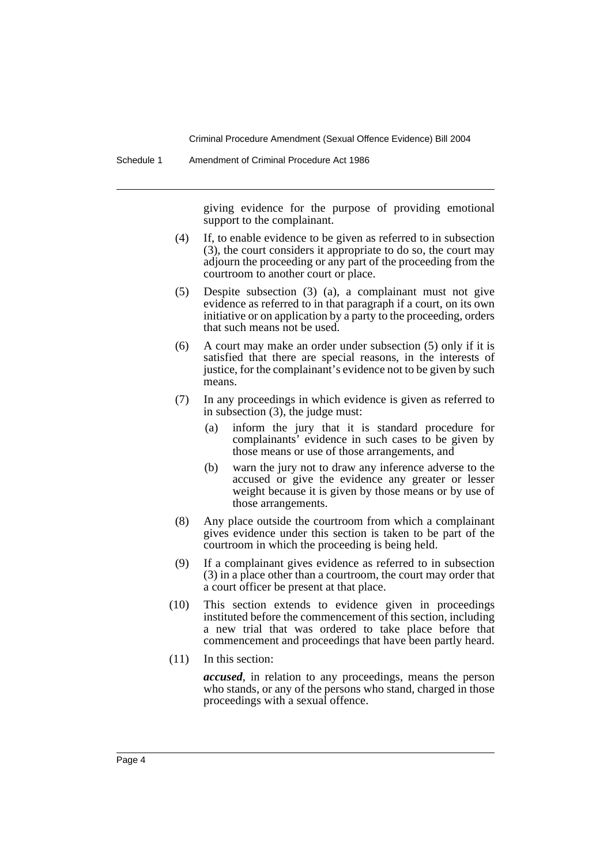giving evidence for the purpose of providing emotional support to the complainant.

- (4) If, to enable evidence to be given as referred to in subsection (3), the court considers it appropriate to do so, the court may adjourn the proceeding or any part of the proceeding from the courtroom to another court or place.
- (5) Despite subsection (3) (a), a complainant must not give evidence as referred to in that paragraph if a court, on its own initiative or on application by a party to the proceeding, orders that such means not be used.
- (6) A court may make an order under subsection (5) only if it is satisfied that there are special reasons, in the interests of justice, for the complainant's evidence not to be given by such means.
- (7) In any proceedings in which evidence is given as referred to in subsection (3), the judge must:
	- (a) inform the jury that it is standard procedure for complainants' evidence in such cases to be given by those means or use of those arrangements, and
	- (b) warn the jury not to draw any inference adverse to the accused or give the evidence any greater or lesser weight because it is given by those means or by use of those arrangements.
- (8) Any place outside the courtroom from which a complainant gives evidence under this section is taken to be part of the courtroom in which the proceeding is being held.
- (9) If a complainant gives evidence as referred to in subsection (3) in a place other than a courtroom, the court may order that a court officer be present at that place.
- (10) This section extends to evidence given in proceedings instituted before the commencement of this section, including a new trial that was ordered to take place before that commencement and proceedings that have been partly heard.
- (11) In this section:

*accused*, in relation to any proceedings, means the person who stands, or any of the persons who stand, charged in those proceedings with a sexual offence.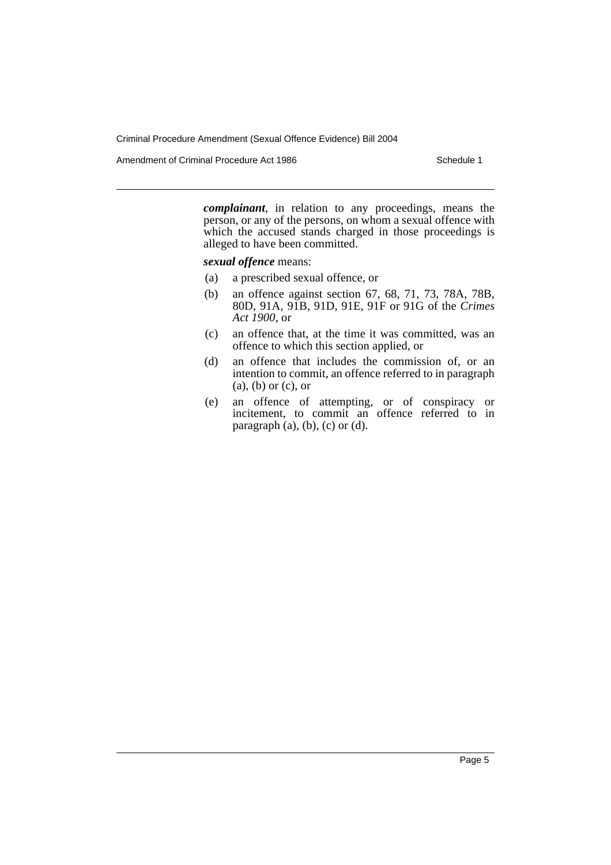Amendment of Criminal Procedure Act 1986 Schedule 1

*complainant*, in relation to any proceedings, means the person, or any of the persons, on whom a sexual offence with which the accused stands charged in those proceedings is alleged to have been committed.

*sexual offence* means:

- (a) a prescribed sexual offence, or
- (b) an offence against section 67, 68, 71, 73, 78A, 78B, 80D, 91A, 91B, 91D, 91E, 91F or 91G of the *Crimes Act 1900*, or
- (c) an offence that, at the time it was committed, was an offence to which this section applied, or
- (d) an offence that includes the commission of, or an intention to commit, an offence referred to in paragraph (a), (b) or (c), or
- (e) an offence of attempting, or of conspiracy or incitement, to commit an offence referred to in paragraph  $(a)$ ,  $(b)$ ,  $(c)$  or  $(d)$ .